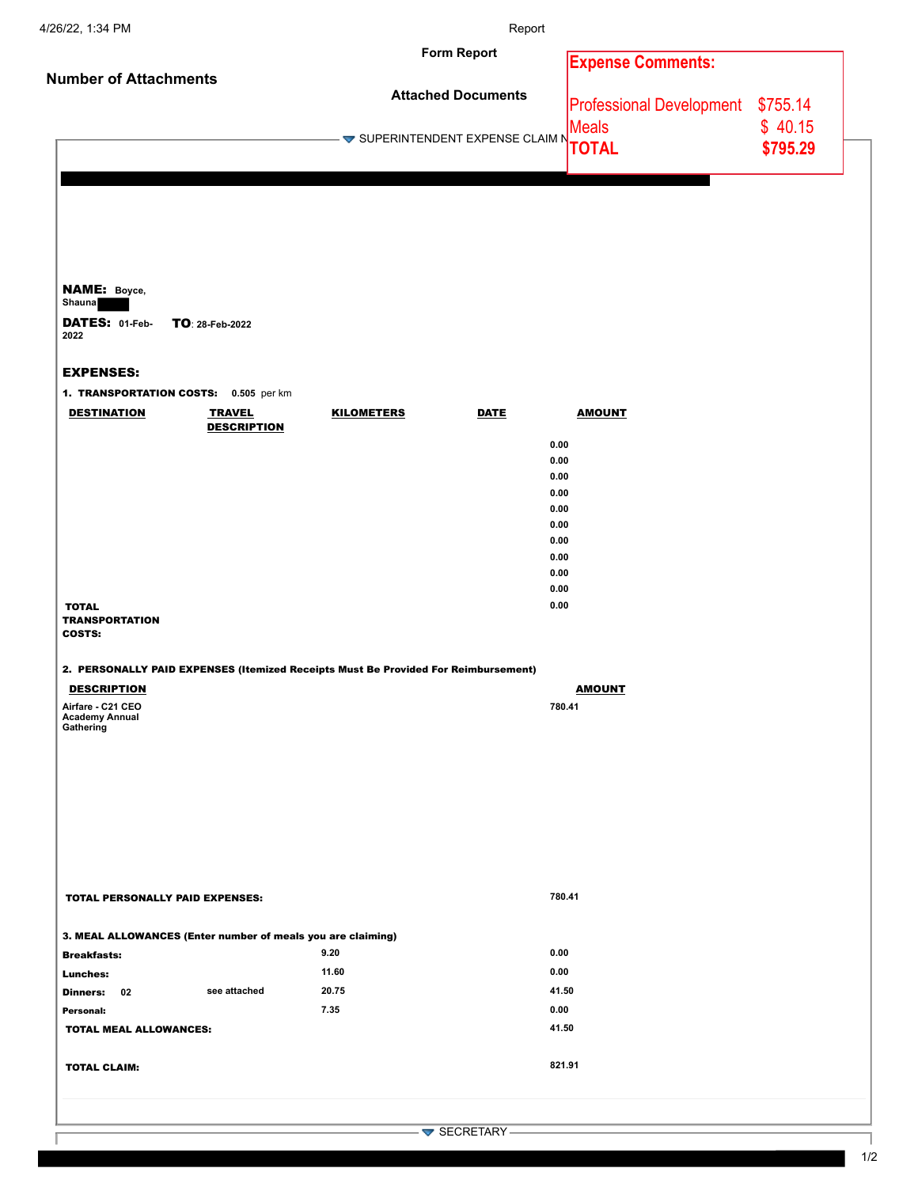|                                                             | Report      |                                                                                                                                       |                                                                                                                                                                                                                                                        |
|-------------------------------------------------------------|-------------|---------------------------------------------------------------------------------------------------------------------------------------|--------------------------------------------------------------------------------------------------------------------------------------------------------------------------------------------------------------------------------------------------------|
|                                                             |             | <b>Expense Comments:</b>                                                                                                              |                                                                                                                                                                                                                                                        |
|                                                             |             |                                                                                                                                       |                                                                                                                                                                                                                                                        |
|                                                             |             | Meals                                                                                                                                 | \$40.15                                                                                                                                                                                                                                                |
|                                                             |             |                                                                                                                                       | \$795.29                                                                                                                                                                                                                                               |
|                                                             |             |                                                                                                                                       |                                                                                                                                                                                                                                                        |
|                                                             |             |                                                                                                                                       |                                                                                                                                                                                                                                                        |
|                                                             |             |                                                                                                                                       |                                                                                                                                                                                                                                                        |
|                                                             |             |                                                                                                                                       |                                                                                                                                                                                                                                                        |
|                                                             |             |                                                                                                                                       |                                                                                                                                                                                                                                                        |
|                                                             |             |                                                                                                                                       |                                                                                                                                                                                                                                                        |
|                                                             |             |                                                                                                                                       |                                                                                                                                                                                                                                                        |
|                                                             |             |                                                                                                                                       |                                                                                                                                                                                                                                                        |
| 1. TRANSPORTATION COSTS: 0.505 per km                       |             |                                                                                                                                       |                                                                                                                                                                                                                                                        |
| <b>KILOMETERS</b>                                           | <b>DATE</b> | <b>AMOUNT</b>                                                                                                                         |                                                                                                                                                                                                                                                        |
|                                                             |             |                                                                                                                                       |                                                                                                                                                                                                                                                        |
|                                                             |             |                                                                                                                                       |                                                                                                                                                                                                                                                        |
|                                                             |             |                                                                                                                                       |                                                                                                                                                                                                                                                        |
|                                                             |             |                                                                                                                                       |                                                                                                                                                                                                                                                        |
|                                                             |             |                                                                                                                                       |                                                                                                                                                                                                                                                        |
|                                                             |             |                                                                                                                                       |                                                                                                                                                                                                                                                        |
|                                                             |             |                                                                                                                                       |                                                                                                                                                                                                                                                        |
|                                                             |             |                                                                                                                                       |                                                                                                                                                                                                                                                        |
|                                                             |             |                                                                                                                                       |                                                                                                                                                                                                                                                        |
|                                                             |             |                                                                                                                                       |                                                                                                                                                                                                                                                        |
|                                                             |             |                                                                                                                                       |                                                                                                                                                                                                                                                        |
|                                                             |             | <u>AMOUNT</u>                                                                                                                         |                                                                                                                                                                                                                                                        |
|                                                             |             |                                                                                                                                       |                                                                                                                                                                                                                                                        |
|                                                             |             |                                                                                                                                       |                                                                                                                                                                                                                                                        |
|                                                             |             |                                                                                                                                       |                                                                                                                                                                                                                                                        |
|                                                             |             |                                                                                                                                       |                                                                                                                                                                                                                                                        |
|                                                             |             |                                                                                                                                       |                                                                                                                                                                                                                                                        |
|                                                             |             |                                                                                                                                       |                                                                                                                                                                                                                                                        |
|                                                             |             |                                                                                                                                       |                                                                                                                                                                                                                                                        |
|                                                             |             |                                                                                                                                       |                                                                                                                                                                                                                                                        |
|                                                             |             |                                                                                                                                       |                                                                                                                                                                                                                                                        |
|                                                             |             |                                                                                                                                       |                                                                                                                                                                                                                                                        |
| 3. MEAL ALLOWANCES (Enter number of meals you are claiming) |             |                                                                                                                                       |                                                                                                                                                                                                                                                        |
| 9.20                                                        |             |                                                                                                                                       |                                                                                                                                                                                                                                                        |
| 11.60                                                       |             |                                                                                                                                       |                                                                                                                                                                                                                                                        |
| 20.75                                                       |             |                                                                                                                                       |                                                                                                                                                                                                                                                        |
| 7.35                                                        |             |                                                                                                                                       |                                                                                                                                                                                                                                                        |
|                                                             |             |                                                                                                                                       |                                                                                                                                                                                                                                                        |
|                                                             |             |                                                                                                                                       |                                                                                                                                                                                                                                                        |
|                                                             |             |                                                                                                                                       |                                                                                                                                                                                                                                                        |
|                                                             |             |                                                                                                                                       |                                                                                                                                                                                                                                                        |
|                                                             |             |                                                                                                                                       |                                                                                                                                                                                                                                                        |
|                                                             |             | <b>Form Report</b><br><b>Attached Documents</b><br>2. PERSONALLY PAID EXPENSES (Itemized Receipts Must Be Provided For Reimbursement) | Professional Development \$755.14<br>– <del>▼</del> SUPERINTENDENT EXPENSE CLAIM NWWW.<br>0.00<br>0.00<br>0.00<br>0.00<br>0.00<br>0.00<br>0.00<br>0.00<br>0.00<br>0.00<br>0.00<br>780.41<br>780.41<br>0.00<br>0.00<br>41.50<br>0.00<br>41.50<br>821.91 |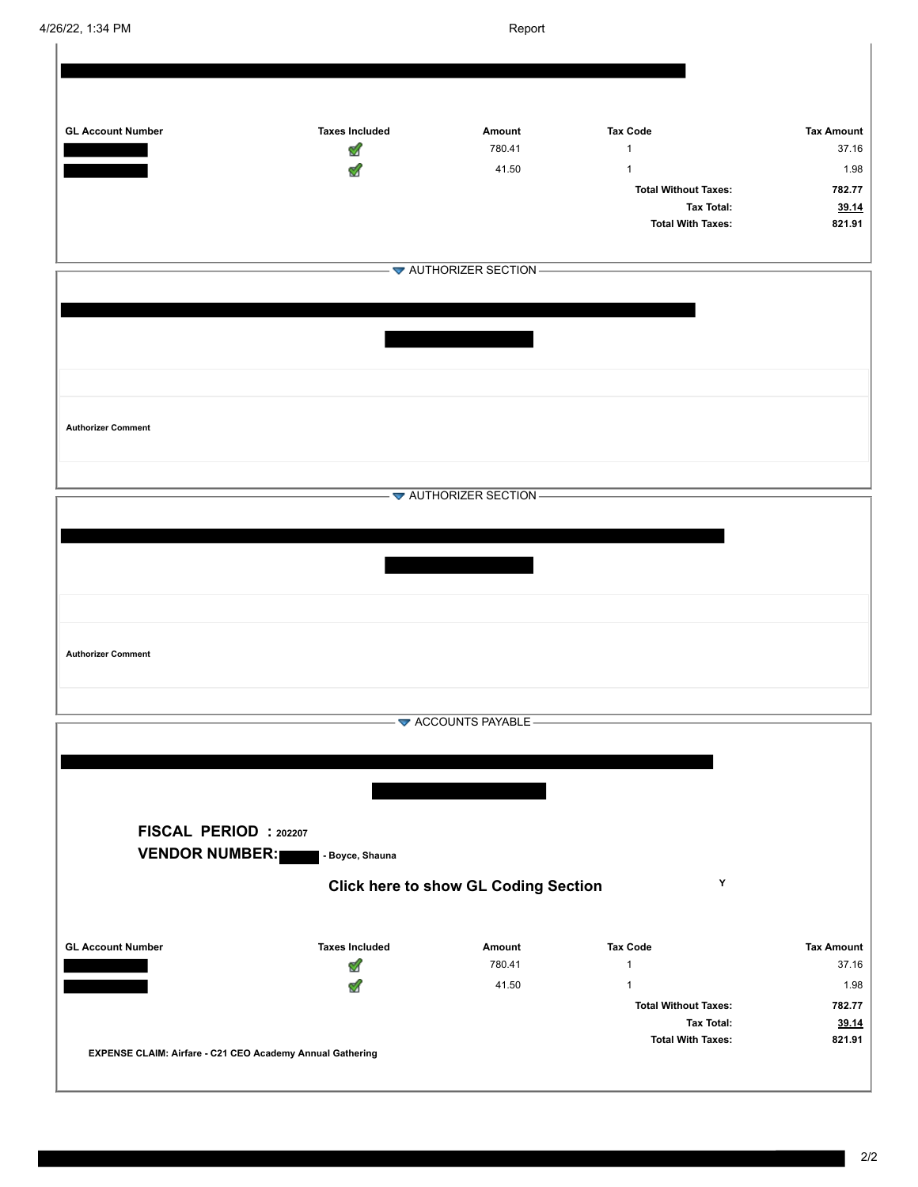| <b>GL Account Number</b>                                  | <b>Taxes Included</b> | Amount                                      | <b>Tax Code</b>                               | <b>Tax Amount</b>          |
|-----------------------------------------------------------|-----------------------|---------------------------------------------|-----------------------------------------------|----------------------------|
|                                                           | V                     | 780.41                                      | $\mathbf{1}$                                  | 37.16                      |
|                                                           |                       | 41.50                                       | $\mathbf{1}$                                  | 1.98                       |
|                                                           |                       |                                             | <b>Total Without Taxes:</b>                   | 782.77                     |
|                                                           |                       |                                             | <b>Tax Total:</b><br><b>Total With Taxes:</b> | 39.14<br>821.91            |
|                                                           |                       |                                             |                                               |                            |
|                                                           |                       | - <b>▼</b> AUTHORIZER SECTION-              |                                               |                            |
|                                                           |                       |                                             |                                               |                            |
|                                                           |                       |                                             |                                               |                            |
|                                                           |                       |                                             |                                               |                            |
|                                                           |                       |                                             |                                               |                            |
|                                                           |                       |                                             |                                               |                            |
|                                                           |                       |                                             |                                               |                            |
|                                                           |                       |                                             |                                               |                            |
| <b>Authorizer Comment</b>                                 |                       |                                             |                                               |                            |
|                                                           |                       |                                             |                                               |                            |
|                                                           |                       |                                             |                                               |                            |
|                                                           |                       | $-\blacktriangleright$ AUTHORIZER SECTION-  |                                               |                            |
|                                                           |                       |                                             |                                               |                            |
|                                                           |                       |                                             |                                               |                            |
|                                                           |                       |                                             |                                               |                            |
|                                                           |                       |                                             |                                               |                            |
|                                                           |                       |                                             |                                               |                            |
|                                                           |                       |                                             |                                               |                            |
| <b>Authorizer Comment</b>                                 |                       |                                             |                                               |                            |
|                                                           |                       |                                             |                                               |                            |
|                                                           |                       |                                             |                                               |                            |
|                                                           |                       | ACCOUNTS PAYABLE -                          |                                               |                            |
|                                                           |                       |                                             |                                               |                            |
|                                                           |                       |                                             |                                               |                            |
|                                                           |                       |                                             |                                               |                            |
|                                                           |                       |                                             |                                               |                            |
| FISCAL PERIOD : 202207                                    |                       |                                             |                                               |                            |
| <b>VENDOR NUMBER:</b>                                     | - Boyce, Shauna       |                                             |                                               |                            |
|                                                           |                       |                                             |                                               |                            |
|                                                           |                       | <b>Click here to show GL Coding Section</b> | Y                                             |                            |
|                                                           |                       |                                             |                                               |                            |
|                                                           |                       |                                             |                                               |                            |
| <b>GL Account Number</b>                                  | <b>Taxes Included</b> | Amount<br>780.41                            | <b>Tax Code</b><br>$\mathbf{1}$               | <b>Tax Amount</b><br>37.16 |
|                                                           | Ø                     | 41.50                                       | $\mathbf{1}$                                  | 1.98                       |
|                                                           | M                     |                                             | <b>Total Without Taxes:</b>                   | 782.77                     |
|                                                           |                       |                                             | <b>Tax Total:</b>                             | 39.14                      |
|                                                           |                       |                                             | <b>Total With Taxes:</b>                      | 821.91                     |
| EXPENSE CLAIM: Airfare - C21 CEO Academy Annual Gathering |                       |                                             |                                               |                            |
|                                                           |                       |                                             |                                               |                            |

J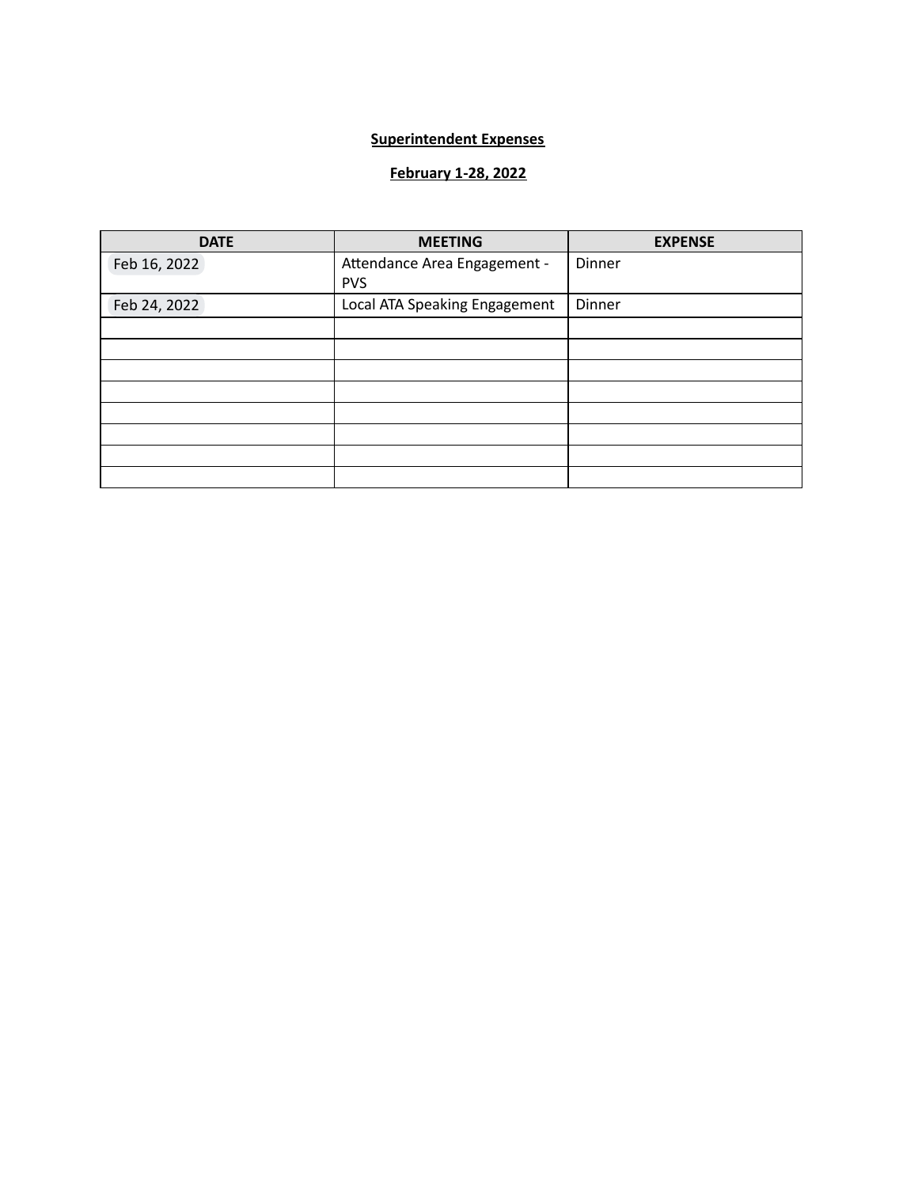## **Superintendent Expenses**

# **February 1-28, 2022**

| <b>DATE</b>  | <b>MEETING</b>                | <b>EXPENSE</b> |
|--------------|-------------------------------|----------------|
| Feb 16, 2022 | Attendance Area Engagement -  | Dinner         |
|              | <b>PVS</b>                    |                |
| Feb 24, 2022 | Local ATA Speaking Engagement | Dinner         |
|              |                               |                |
|              |                               |                |
|              |                               |                |
|              |                               |                |
|              |                               |                |
|              |                               |                |
|              |                               |                |
|              |                               |                |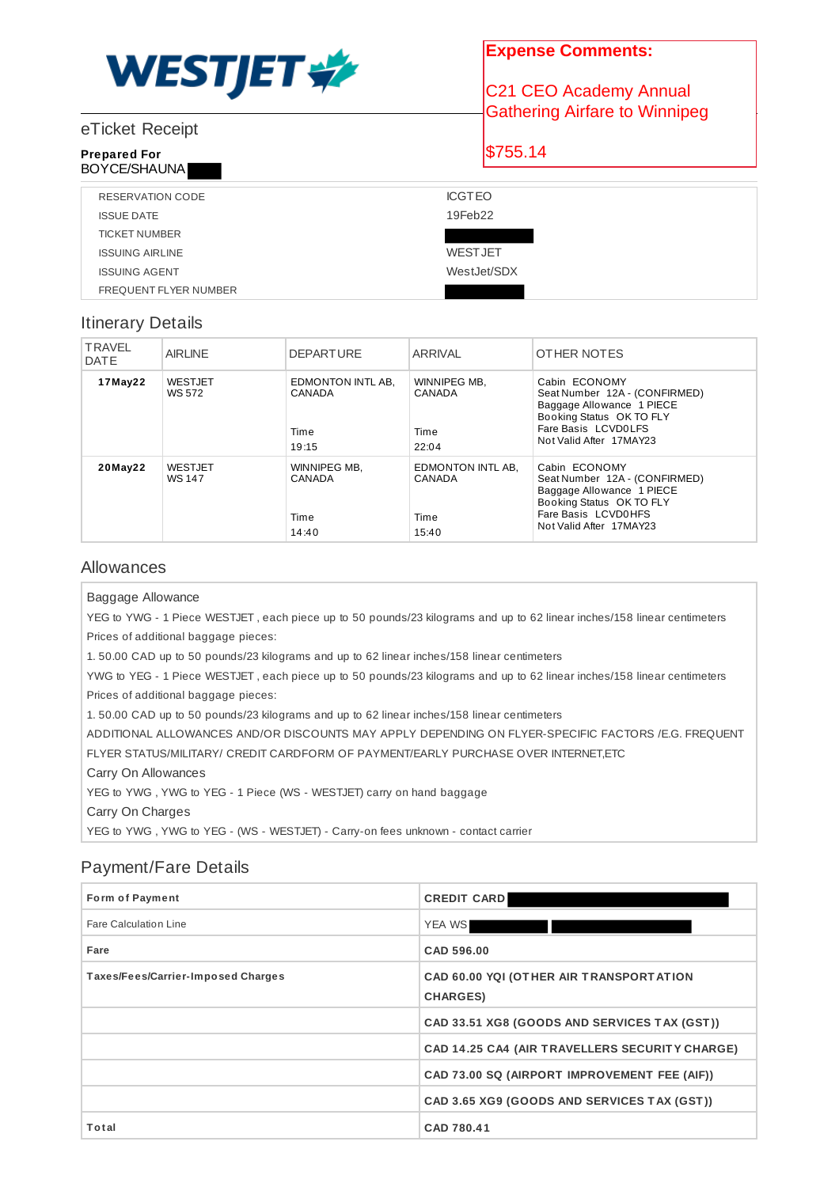

## eTicket Receipt

#### **Prepared For** BOYCE/SHAUNA

**Expense Comments:**

C21 CEO Academy Annual Gathering Airfare to Winnipeg

\$755.14

| RESERVATION CODE       | <b>ICGTEO</b>  |
|------------------------|----------------|
| <b>ISSUE DATE</b>      | 19Feb22        |
| <b>TICKET NUMBER</b>   |                |
| <b>ISSUING AIRLINE</b> | <b>WESTJET</b> |
| <b>ISSUING AGENT</b>   | WestJet/SDX    |
| FREQUENT FLYER NUMBER  |                |

## Itinerary Details

| <b>TRAVEL</b><br><b>DATE</b> | <b>AIRLINE</b>           | <b>DEPARTURE</b>                             | ARRIVAL                                      | OTHER NOTES                                                                                                                                               |
|------------------------------|--------------------------|----------------------------------------------|----------------------------------------------|-----------------------------------------------------------------------------------------------------------------------------------------------------------|
| 17May22                      | <b>WESTJET</b><br>WS 572 | EDMONTON INTL AB,<br>CANADA<br>Time<br>19:15 | WINNIPEG MB.<br>CANADA<br>Time<br>22:04      | Cabin ECONOMY<br>Seat Number 12A - (CONFIRMED)<br>Baggage Allowance 1 PIECE<br>Booking Status OK TO FLY<br>Fare Basis LCVD0LFS<br>Not Valid After 17MAY23 |
| 20May22                      | <b>WESTJET</b><br>WS 147 | WINNIPEG MB,<br>CANADA<br>Time<br>14:40      | EDMONTON INTL AB,<br>CANADA<br>Time<br>15:40 | Cabin ECONOMY<br>Seat Number 12A - (CONFIRMED)<br>Baggage Allowance 1 PIECE<br>Booking Status OK TO FLY<br>Fare Basis LCVD0HFS<br>Not Valid After 17MAY23 |

## Allowances

Baggage Allowance

YEG to YWG - 1 Piece WESTJET , each piece up to 50 pounds/23 kilograms and up to 62 linear inches/158 linear centimeters Prices of additional baggage pieces:

1. 50.00 CAD up to 50 pounds/23 kilograms and up to 62 linear inches/158 linear centimeters

YWG to YEG - 1 Piece WESTJET , each piece up to 50 pounds/23 kilograms and up to 62 linear inches/158 linear centimeters Prices of additional baggage pieces:

1. 50.00 CAD up to 50 pounds/23 kilograms and up to 62 linear inches/158 linear centimeters

ADDITIONAL ALLOWANCES AND/OR DISCOUNTS MAY APPLY DEPENDING ON FLYER-SPECIFIC FACTORS /E.G. FREQUENT

FLYER STATUS/MILITARY/ CREDIT CARDFORM OF PAYMENT/EARLY PURCHASE OVER INTERNET,ETC

Carry On Allowances

YEG to YWG , YWG to YEG - 1 Piece (WS - WESTJET) carry on hand baggage

Carry On Charges

YEG to YWG , YWG to YEG - (WS - WESTJET) - Carry-on fees unknown - contact carrier

# Payment/Fare Details

| Form of Payment                    | <b>CREDIT CARD</b>                                          |
|------------------------------------|-------------------------------------------------------------|
| Fare Calculation Line              | <b>YEA WS</b>                                               |
| Fare                               | CAD 596.00                                                  |
| Taxes/Fees/Carrier-Imposed Charges | CAD 60.00 YOI (OTHER AIR TRANSPORTATION<br><b>CHARGES</b> ) |
|                                    | CAD 33.51 XG8 (GOODS AND SERVICES TAX (GST))                |
|                                    | CAD 14.25 CA4 (AIR TRAVELLERS SECURITY CHARGE)              |
|                                    | CAD 73.00 SQ (AIRPORT IMPROVEMENT FEE (AIF))                |
|                                    | CAD 3.65 XG9 (GOODS AND SERVICES TAX (GST))                 |
| Total                              | CAD 780.41                                                  |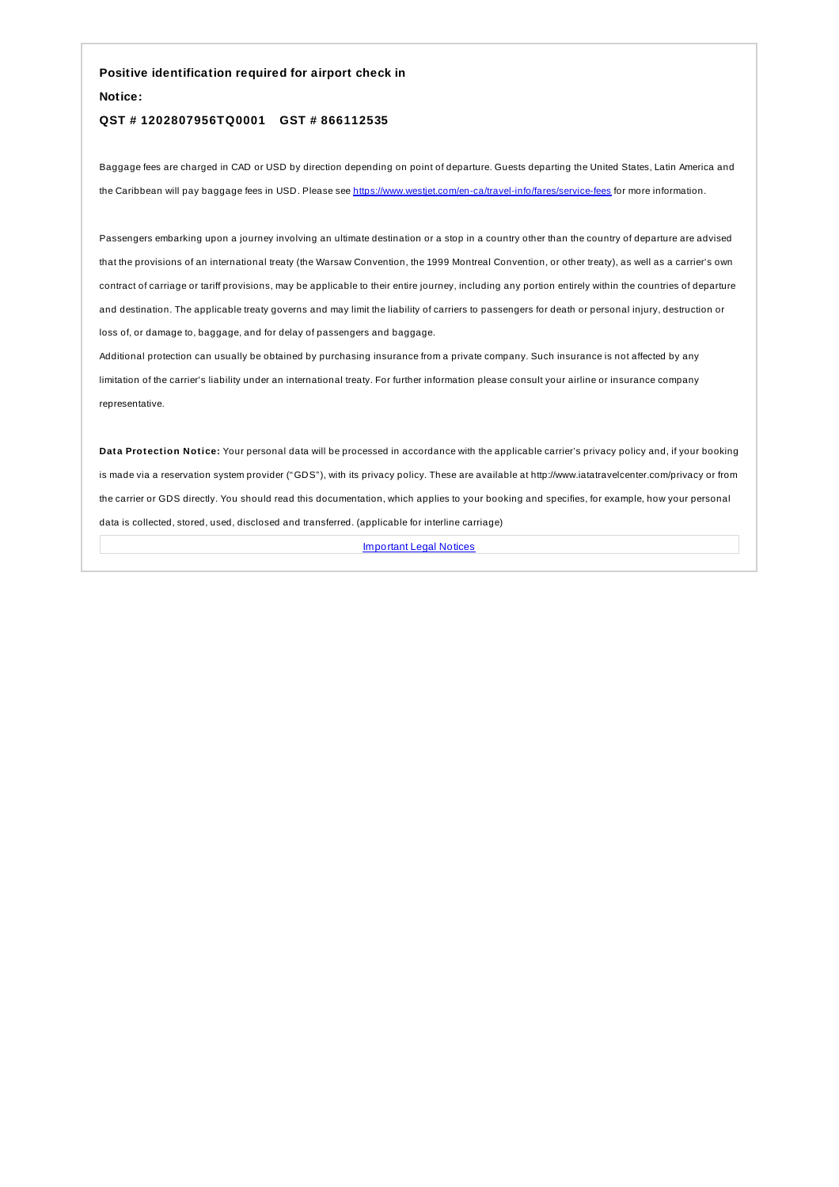**Positive identification required for airport check in**

**Notice:**

### **QST # 1202807956TQ0001 GST # 866112535**

Baggage fees are charged in CAD or USD by direction depending on point of departure. Guests departing the United States, Latin America and the Caribbean will pay baggage fees in USD. Please see <https://www.westjet.com/en-ca/travel-info/fares/service-fees> for more information.

Passengers embarking upon a journey involving an ultimate destination or a stop in a country other than the country of departure are advised that the provisions of an international treaty (the Warsaw Convention, the 1999 Montreal Convention, or other treaty), as well as a carrier's own contract of carriage or tariff provisions, may be applicable to their entire journey, including any portion entirely within the countries of departure and destination. The applicable treaty governs and may limit the liability of carriers to passengers for death or personal injury, destruction or loss of, or damage to, baggage, and for delay of passengers and baggage.

Additional protection can usually be obtained by purchasing insurance from a private company. Such insurance is not affected by any limitation of the carrier's liability under an international treaty. For further information please consult your airline or insurance company representative.

**Data Protection Notice:** Your personal data will be processed in accordance with the applicable carrier's privacy policy and, if your booking is made via a reservation system provider ("GDS"), with its privacy policy. These are available at http://www.iatatravelcenter.com/privacy or from the carrier or GDS directly. You should read this documentation, which applies to your booking and specifies, for example, how your personal data is collected, stored, used, disclosed and transferred. (applicable for interline carriage)

**[Important](https://www.westjet.com/fr-ca/a-propos/legal/modalites-conditions-voyages/vols-westjet) Legal Notices**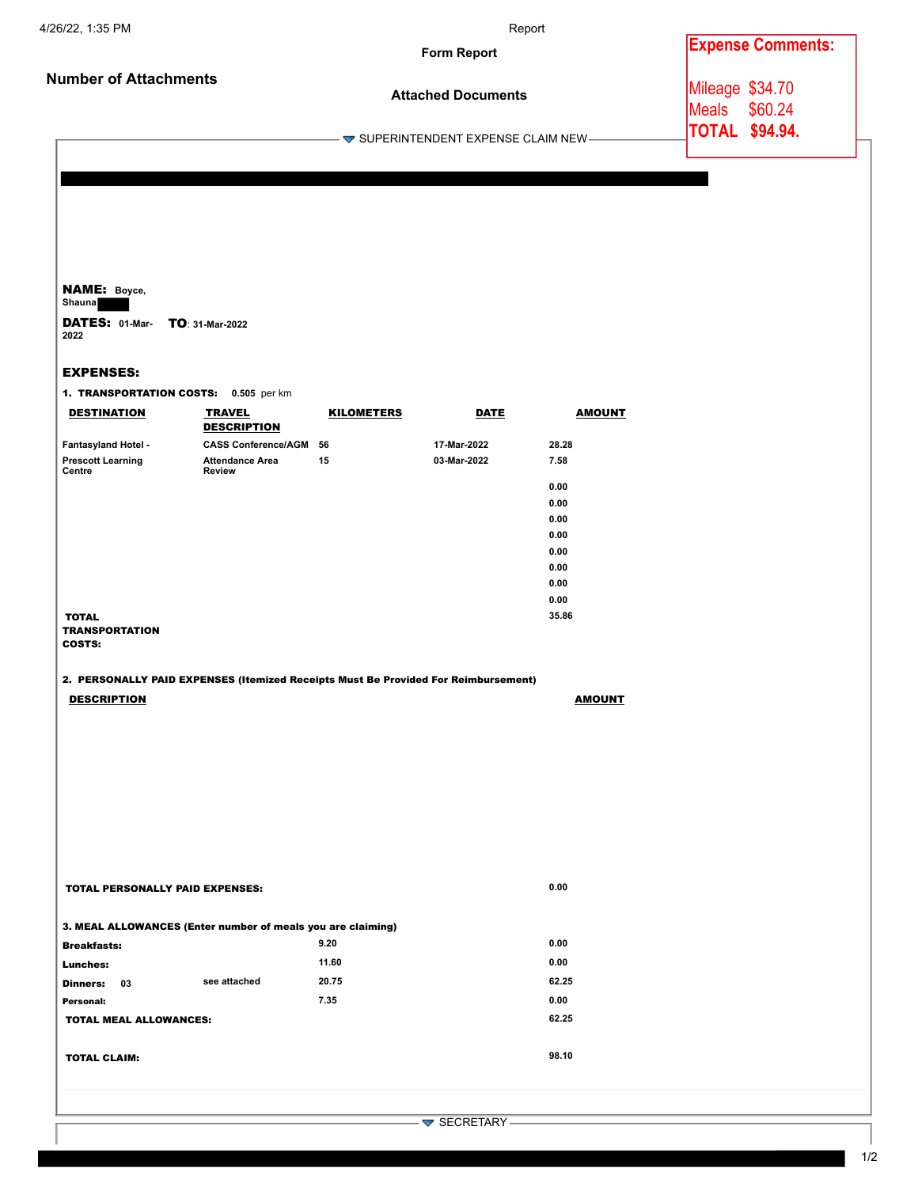|                              | <b>Form Report</b>                                      | <b>Expense Comments:</b>             |
|------------------------------|---------------------------------------------------------|--------------------------------------|
| <b>Number of Attachments</b> | <b>Attached Documents</b>                               | Mileage \$34.70<br>\$60.24<br>lMeals |
|                              | $\blacktriangleright$ SUPERINTENDENT EXPENSE CLAIM NEW- | <b>TOTAL \$94.94.</b>                |

NAME: **Boyce, Shauna** 

DATES: **01-Mar-**TO: **31-Mar-2022 2022**

### EXPENSES:

1. TRANSPORTATION COSTS: **0.505** per km

| <b>DESTINATION</b>                              | <b>TRAVEL</b><br><b>DESCRIPTION</b>     | <b>KILOMETERS</b> | <b>DATE</b> | <b>AMOUNT</b> |
|-------------------------------------------------|-----------------------------------------|-------------------|-------------|---------------|
| Fantasyland Hotel -                             | <b>CASS Conference/AGM</b>              | 56                | 17-Mar-2022 | 28.28         |
| <b>Prescott Learning</b><br>Centre              | <b>Attendance Area</b><br><b>Review</b> | 15                | 03-Mar-2022 | 7.58          |
|                                                 |                                         |                   |             | 0.00          |
|                                                 |                                         |                   |             | 0.00          |
|                                                 |                                         |                   |             | 0.00          |
|                                                 |                                         |                   |             | 0.00          |
|                                                 |                                         |                   |             | 0.00          |
|                                                 |                                         |                   |             | 0.00          |
|                                                 |                                         |                   |             | 0.00          |
|                                                 |                                         |                   |             | 0.00          |
| <b>TOTAL</b><br><b>TRANSPORTATION</b><br>COSTS: |                                         |                   |             | 35.86         |

### 2. PERSONALLY PAID EXPENSES (Itemized Receipts Must Be Provided For Reimbursement)

| <b>DESCRIPTION</b> | <b>AMOUNT</b> |
|--------------------|---------------|
|                    |               |

| <b>TOTAL PERSONALLY PAID EXPENSES:</b>                      |       | 0.00  |
|-------------------------------------------------------------|-------|-------|
| 3. MEAL ALLOWANCES (Enter number of meals you are claiming) |       |       |
| <b>Breakfasts:</b>                                          | 9.20  | 0.00  |
| Lunches:                                                    | 11.60 | 0.00  |
| see attached<br>Dinners:<br>03                              | 20.75 | 62.25 |
| Personal:                                                   | 7.35  | 0.00  |
| <b>TOTAL MEAL ALLOWANCES:</b>                               |       | 62.25 |
|                                                             |       |       |
| <b>TOTAL CLAIM:</b>                                         |       | 98.10 |

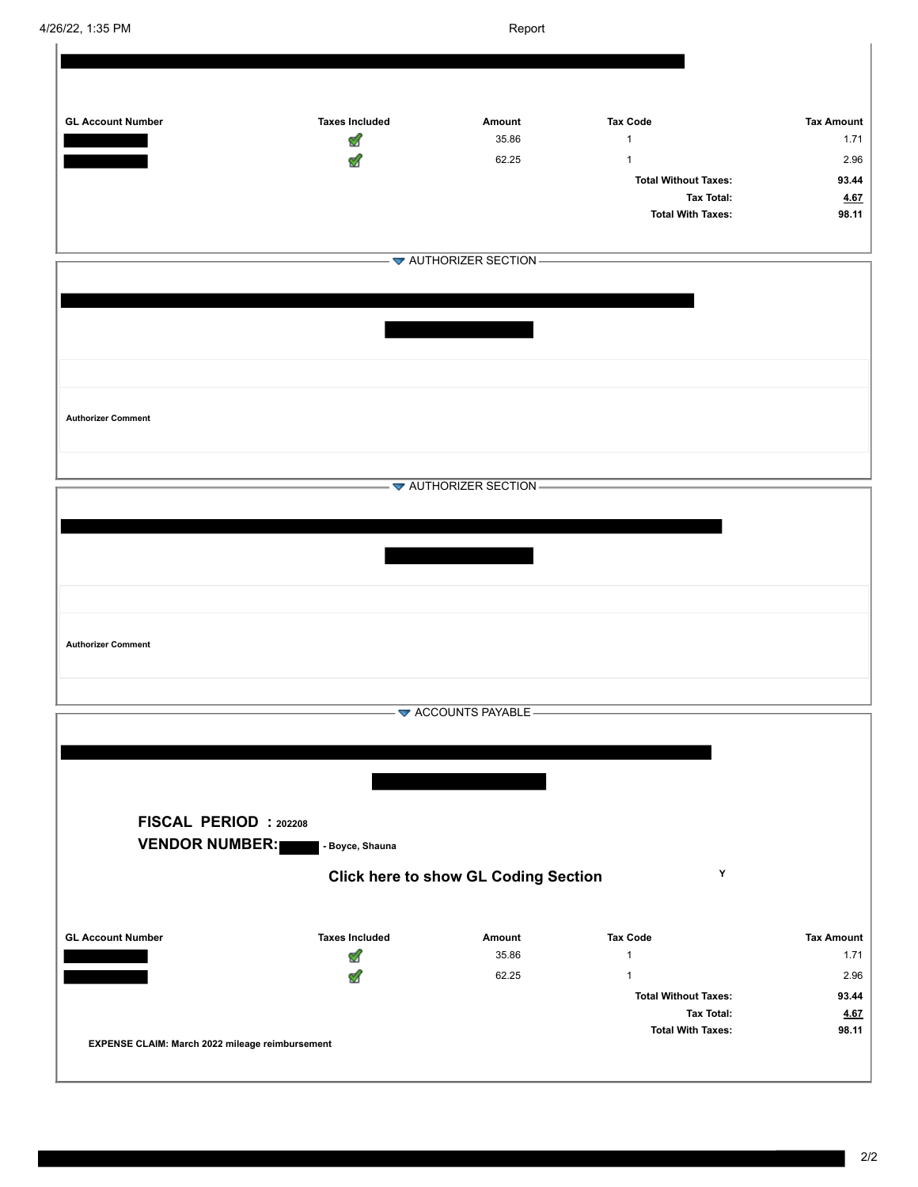| 4/26/22, 1:35 PM                                                                                                     | Report                |                                             |                             |                   |
|----------------------------------------------------------------------------------------------------------------------|-----------------------|---------------------------------------------|-----------------------------|-------------------|
|                                                                                                                      |                       |                                             |                             |                   |
|                                                                                                                      |                       |                                             |                             |                   |
|                                                                                                                      |                       |                                             |                             |                   |
| <b>GL Account Number</b>                                                                                             | <b>Taxes Included</b> | Amount                                      | <b>Tax Code</b>             | <b>Tax Amount</b> |
| <u>e servizioni di un statistico di un statistico di un statistico di un statistico di un statistico di un stati</u> | ⅆ                     | 35.86                                       | $\mathbf{1}$                | 1.71              |
|                                                                                                                      |                       | 62.25                                       | $\mathbf{1}$                | 2.96              |
|                                                                                                                      |                       |                                             | <b>Total Without Taxes:</b> | 93.44             |
|                                                                                                                      |                       |                                             | <b>Tax Total:</b>           | 4.67              |
|                                                                                                                      |                       |                                             | <b>Total With Taxes:</b>    | 98.11             |
|                                                                                                                      |                       |                                             |                             |                   |
|                                                                                                                      |                       | $-\blacktriangleright$ AUTHORIZER SECTION - |                             |                   |
|                                                                                                                      |                       |                                             |                             |                   |
|                                                                                                                      |                       |                                             |                             |                   |
|                                                                                                                      |                       |                                             |                             |                   |
|                                                                                                                      |                       |                                             |                             |                   |
|                                                                                                                      |                       |                                             |                             |                   |
|                                                                                                                      |                       |                                             |                             |                   |
|                                                                                                                      |                       |                                             |                             |                   |
|                                                                                                                      |                       |                                             |                             |                   |
| <b>Authorizer Comment</b>                                                                                            |                       |                                             |                             |                   |
|                                                                                                                      |                       |                                             |                             |                   |
|                                                                                                                      |                       |                                             |                             |                   |
|                                                                                                                      |                       | $-\blacktriangleright$ AUTHORIZER SECTION - |                             |                   |
|                                                                                                                      |                       |                                             |                             |                   |
|                                                                                                                      |                       |                                             |                             |                   |
|                                                                                                                      |                       |                                             |                             |                   |
|                                                                                                                      |                       |                                             |                             |                   |
|                                                                                                                      |                       |                                             |                             |                   |
|                                                                                                                      |                       |                                             |                             |                   |
|                                                                                                                      |                       |                                             |                             |                   |
| <b>Authorizer Comment</b>                                                                                            |                       |                                             |                             |                   |
|                                                                                                                      |                       |                                             |                             |                   |
|                                                                                                                      |                       |                                             |                             |                   |
|                                                                                                                      |                       |                                             |                             |                   |
|                                                                                                                      |                       | ACCOUNTS PAYABLE-                           |                             |                   |
|                                                                                                                      |                       |                                             |                             |                   |
|                                                                                                                      |                       |                                             |                             |                   |
|                                                                                                                      |                       |                                             |                             |                   |
|                                                                                                                      |                       |                                             |                             |                   |
| FISCAL PERIOD : 202208                                                                                               |                       |                                             |                             |                   |
| <b>VENDOR NUMBER:</b>                                                                                                | - Boyce, Shauna       |                                             |                             |                   |
|                                                                                                                      |                       |                                             |                             |                   |
|                                                                                                                      |                       | <b>Click here to show GL Coding Section</b> | Y                           |                   |
|                                                                                                                      |                       |                                             |                             |                   |
|                                                                                                                      |                       |                                             |                             |                   |
| <b>GL Account Number</b>                                                                                             | <b>Taxes Included</b> | Amount                                      | <b>Tax Code</b>             | <b>Tax Amount</b> |
|                                                                                                                      | ⅆ                     | 35.86                                       | $\mathbf{1}$                | 1.71              |
|                                                                                                                      | M                     | 62.25                                       | $\mathbf{1}$                | 2.96              |
|                                                                                                                      |                       |                                             | <b>Total Without Taxes:</b> | 93.44             |
|                                                                                                                      |                       |                                             | <b>Tax Total:</b>           | <b>4.67</b>       |
|                                                                                                                      |                       |                                             | <b>Total With Taxes:</b>    | 98.11             |
| EXPENSE CLAIM: March 2022 mileage reimbursement                                                                      |                       |                                             |                             |                   |